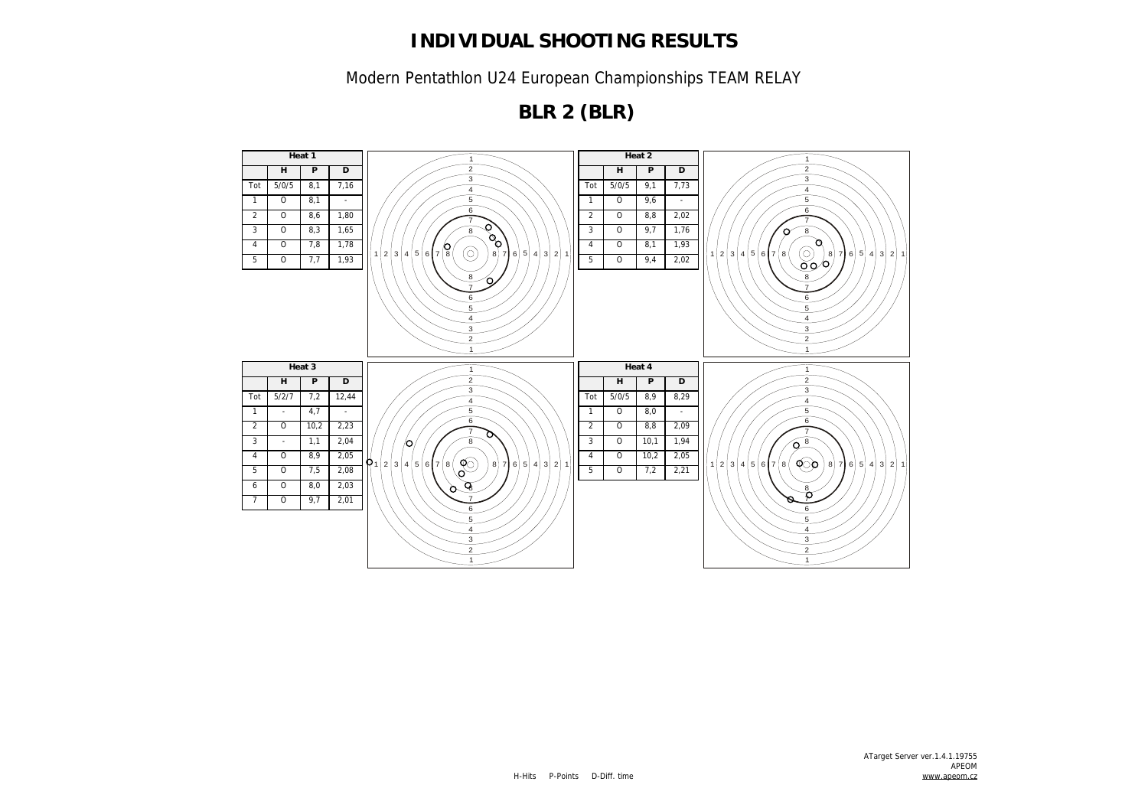Modern Pentathlon U24 European Championships TEAM RELAY

**BLR 2 (BLR)**

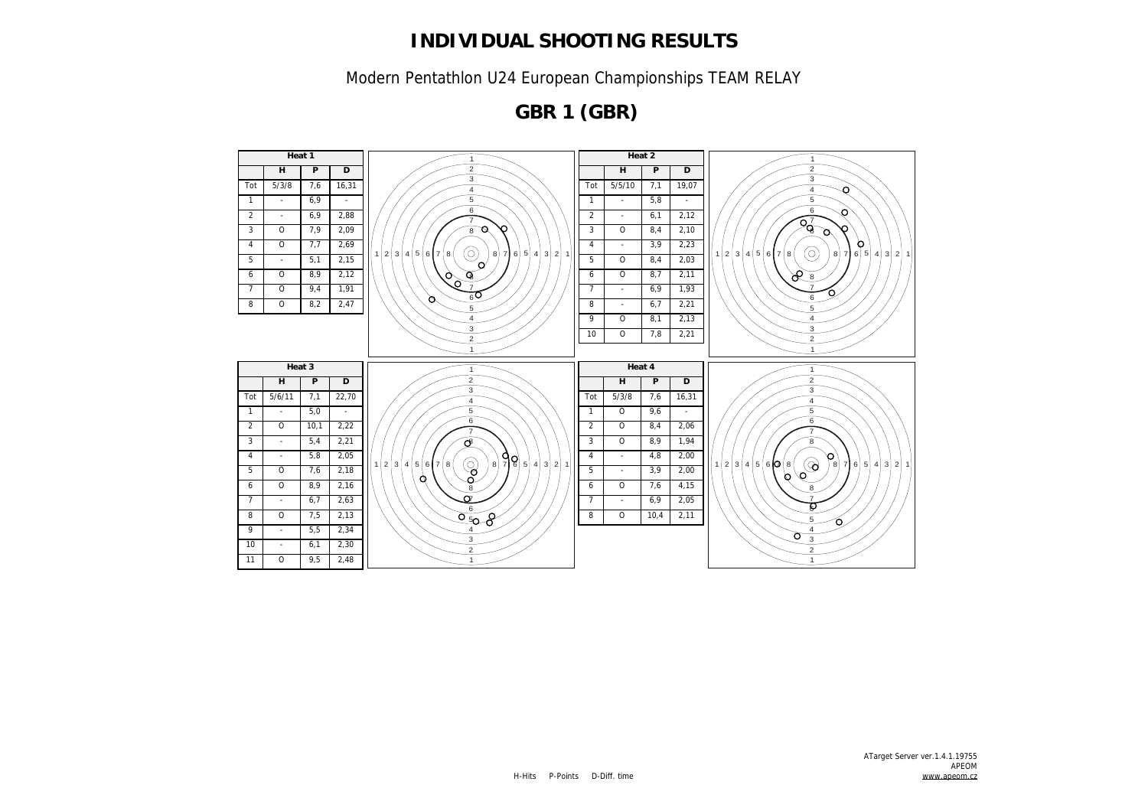Modern Pentathlon U24 European Championships TEAM RELAY

**GBR 1 (GBR)**

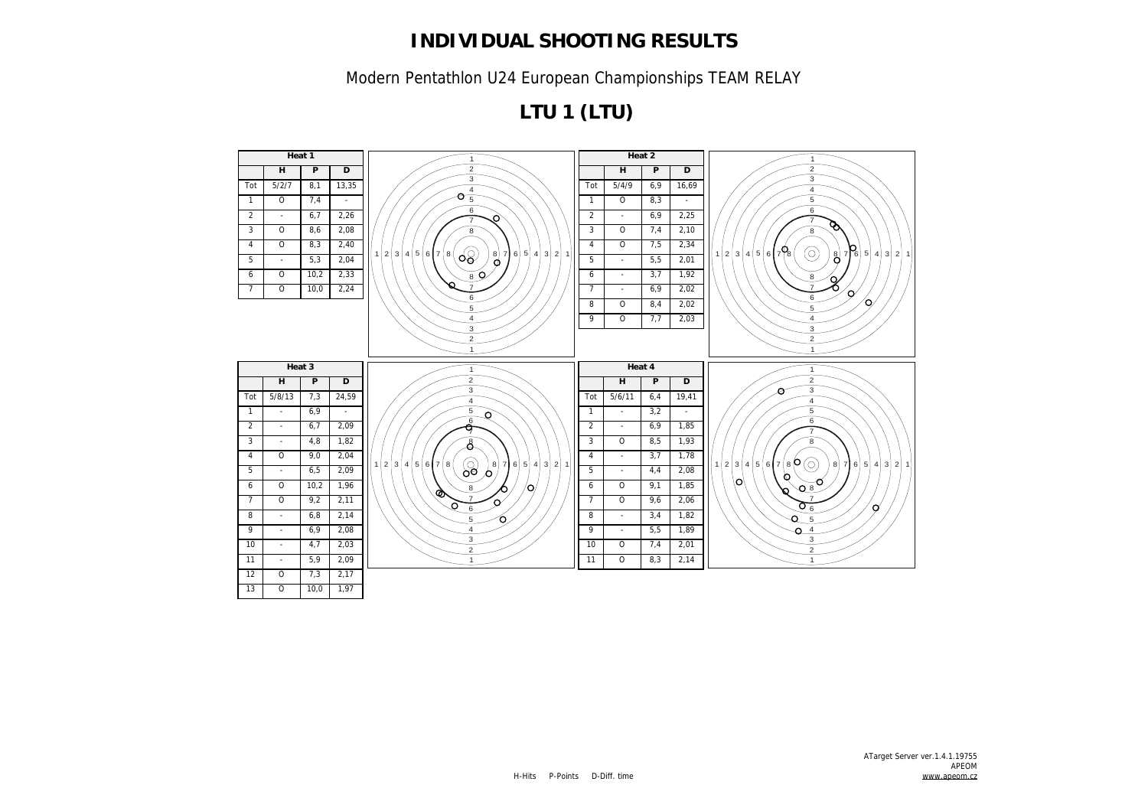Modern Pentathlon U24 European Championships TEAM RELAY

**LTU 1 (LTU)**

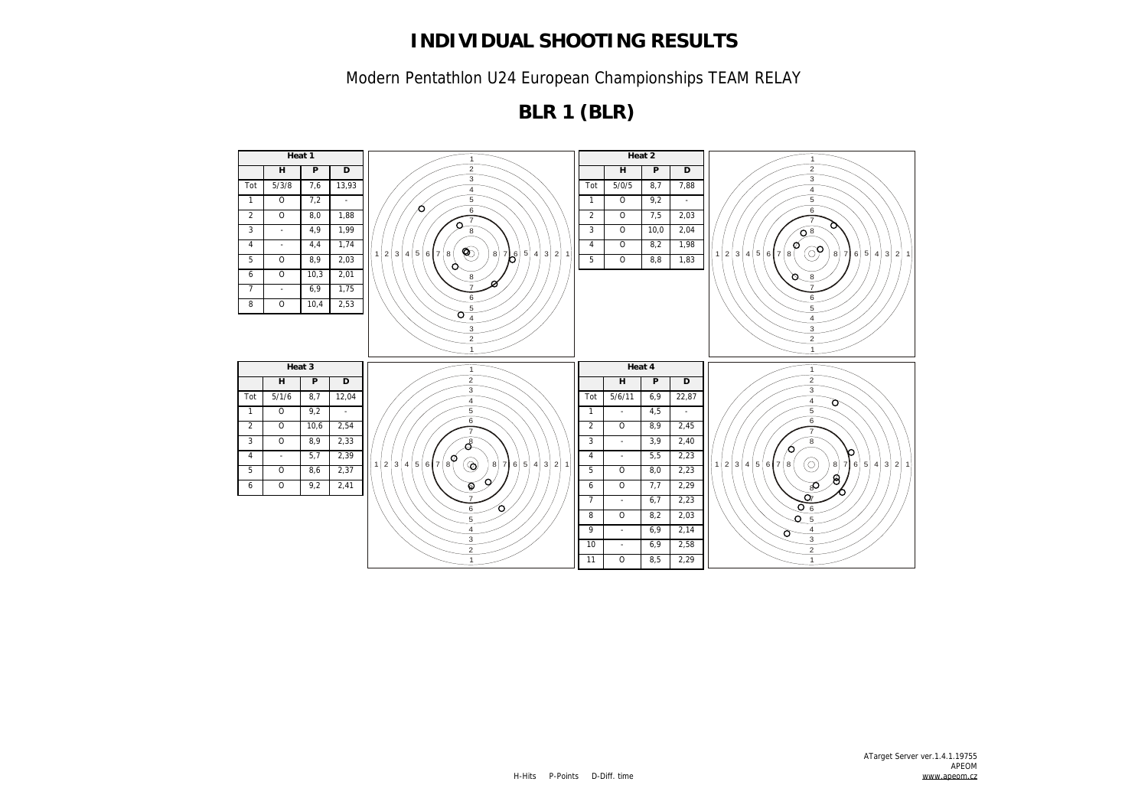Modern Pentathlon U24 European Championships TEAM RELAY

**BLR 1 (BLR)**

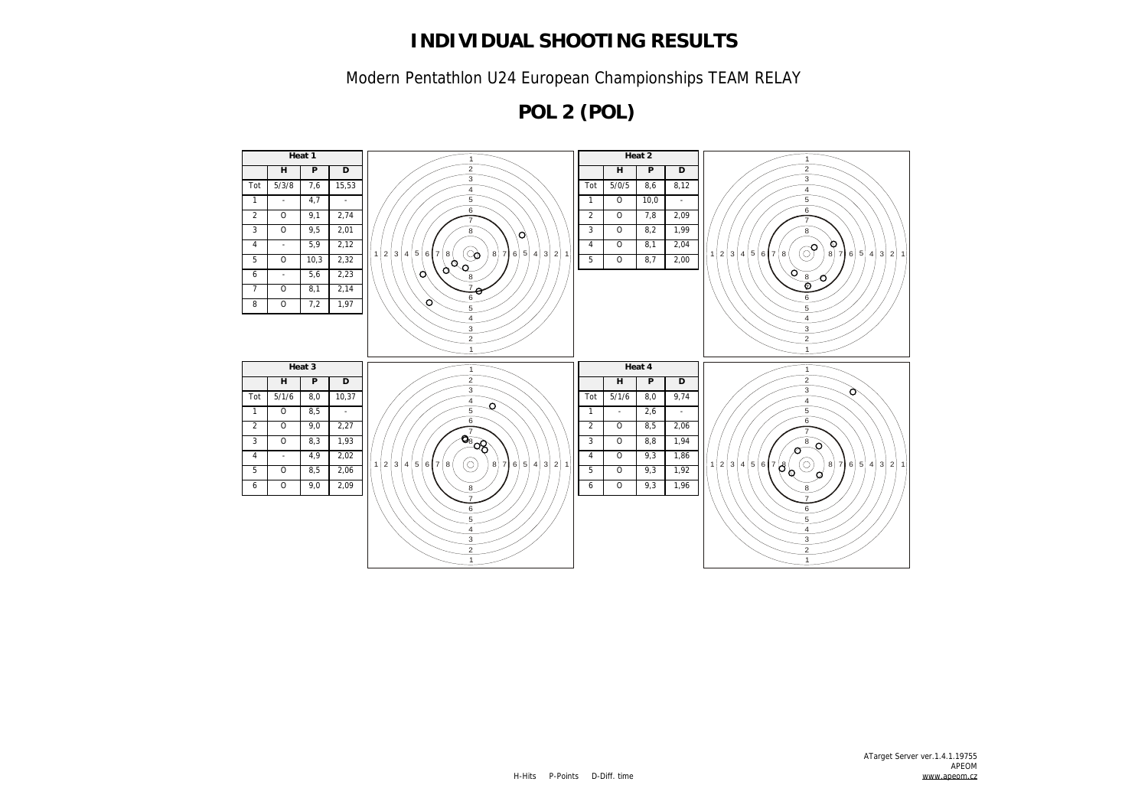Modern Pentathlon U24 European Championships TEAM RELAY

**POL 2 (POL)**

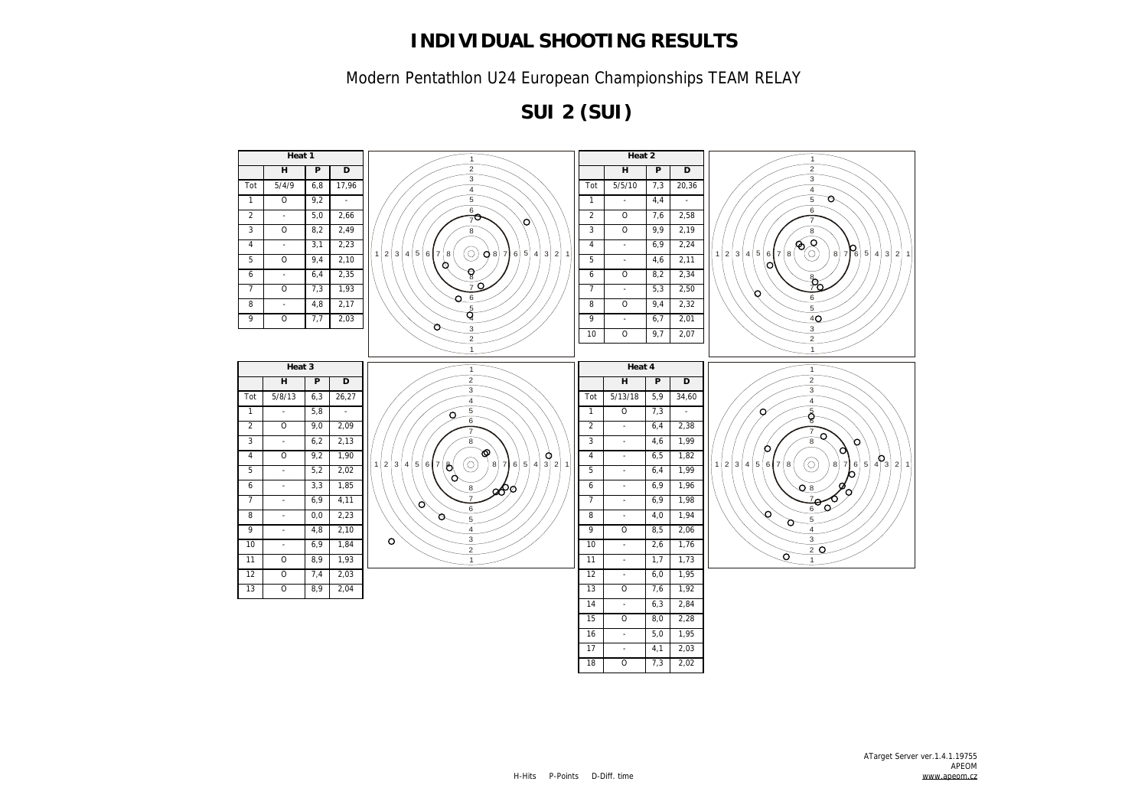Modern Pentathlon U24 European Championships TEAM RELAY

**SUI 2 (SUI)**

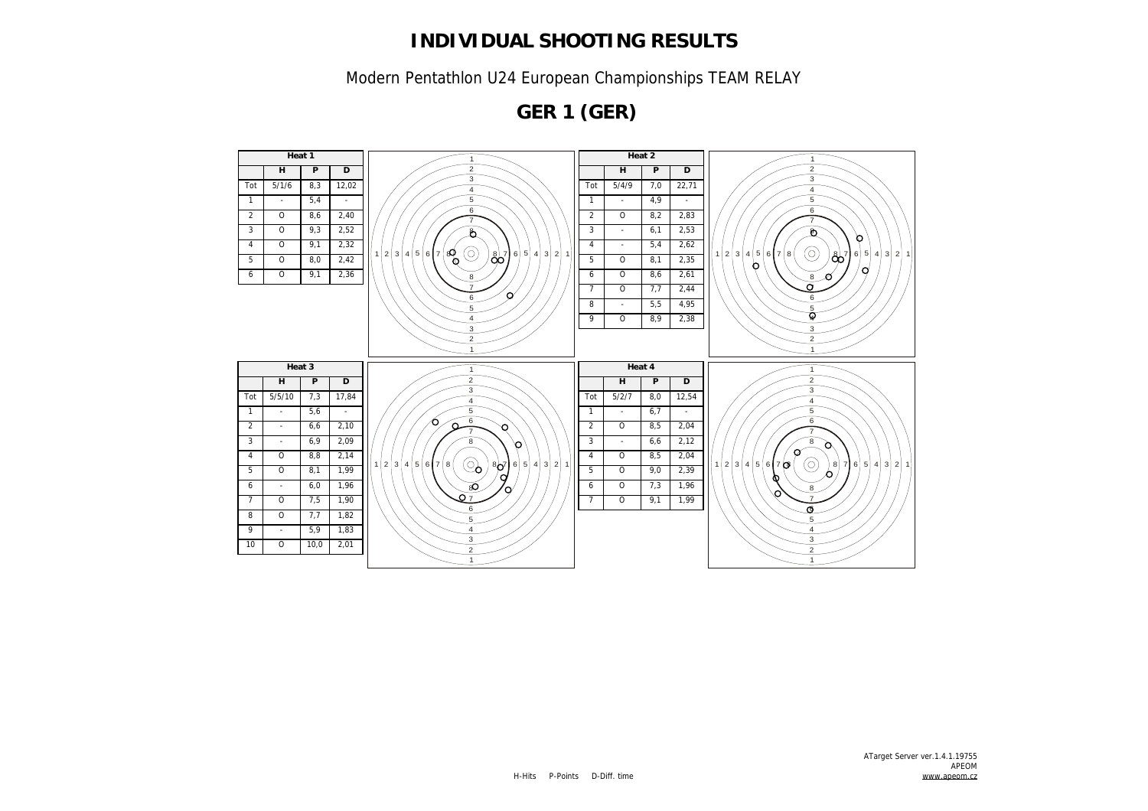Modern Pentathlon U24 European Championships TEAM RELAY

**GER 1 (GER)**

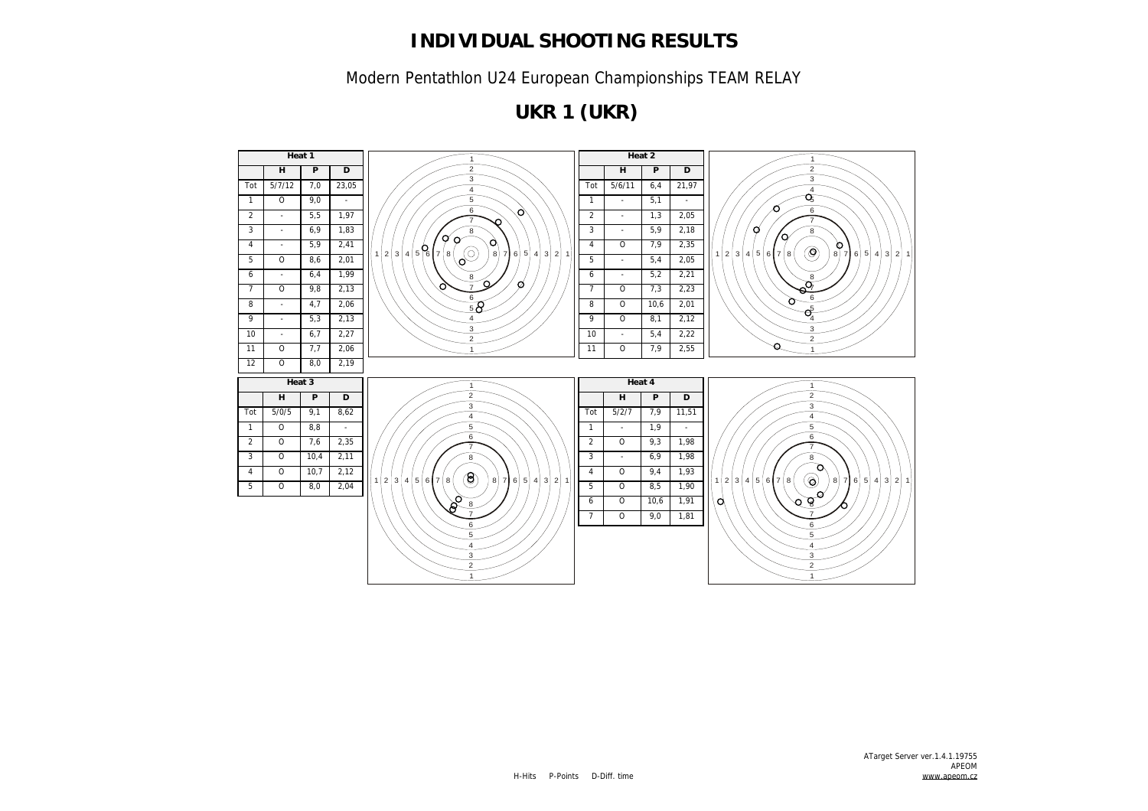Modern Pentathlon U24 European Championships TEAM RELAY

**UKR 1 (UKR)**

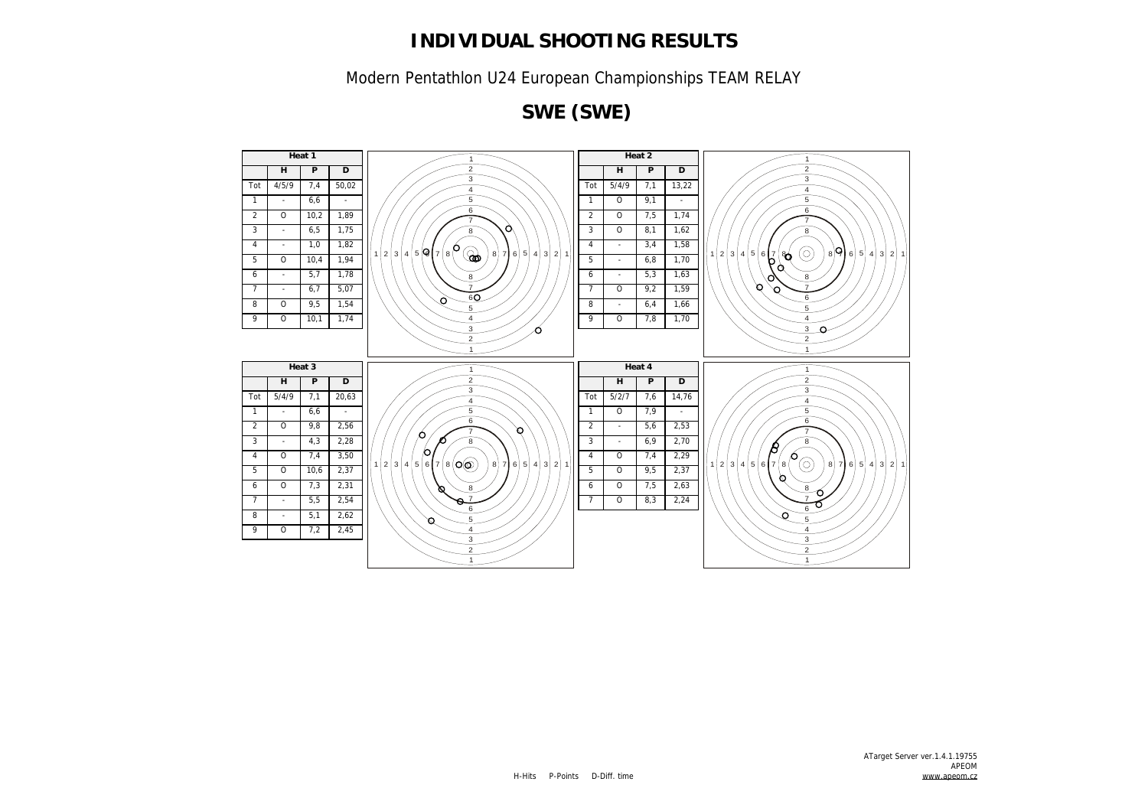Modern Pentathlon U24 European Championships TEAM RELAY

**SWE (SWE)**

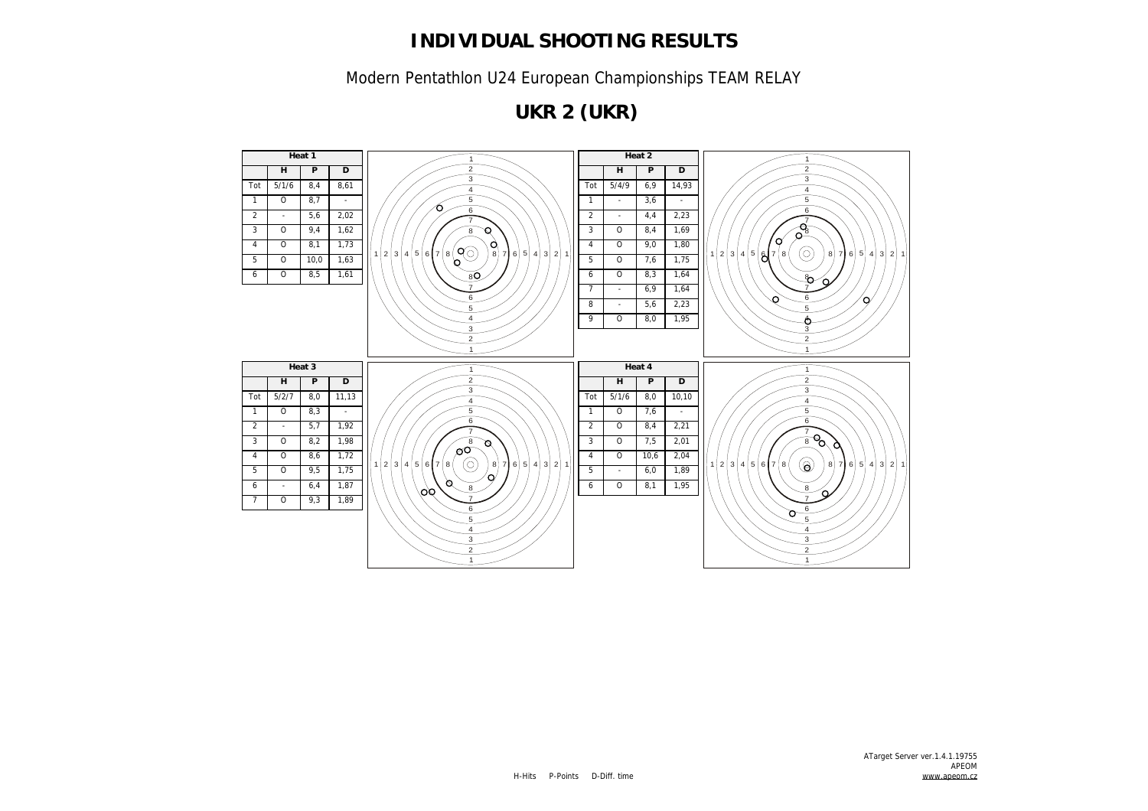Modern Pentathlon U24 European Championships TEAM RELAY

**UKR 2 (UKR)**

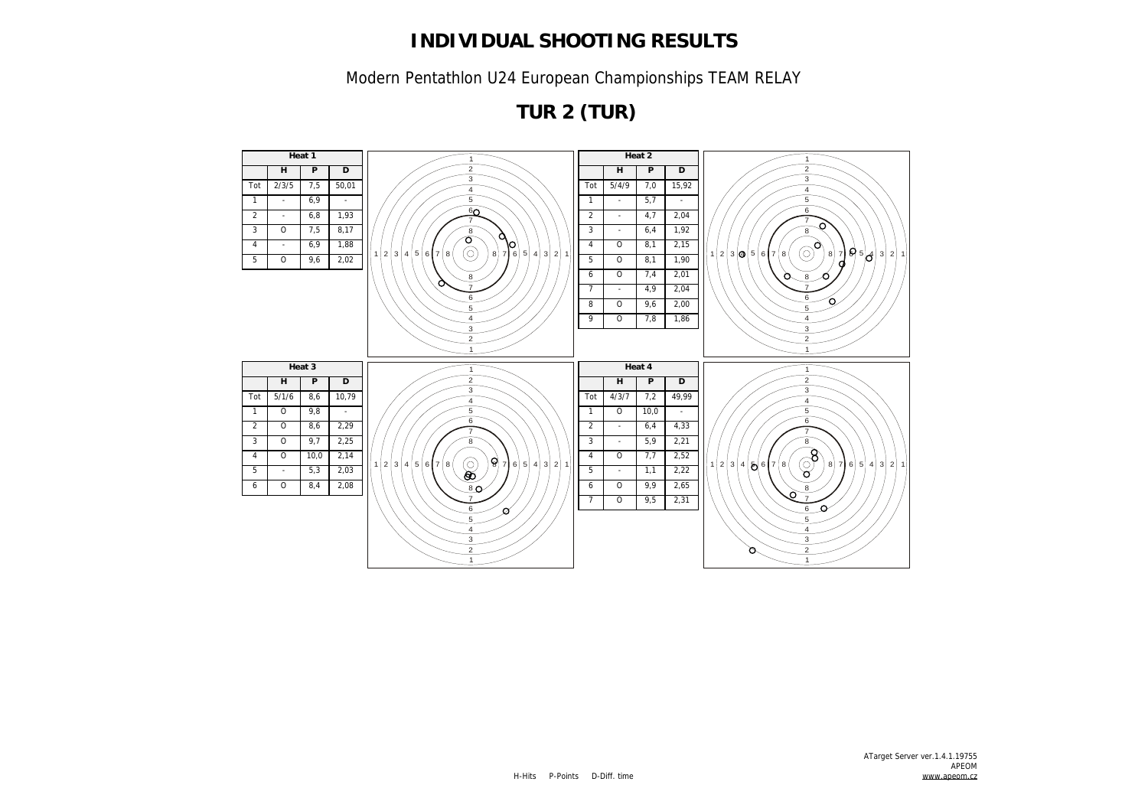Modern Pentathlon U24 European Championships TEAM RELAY

**TUR 2 (TUR)**

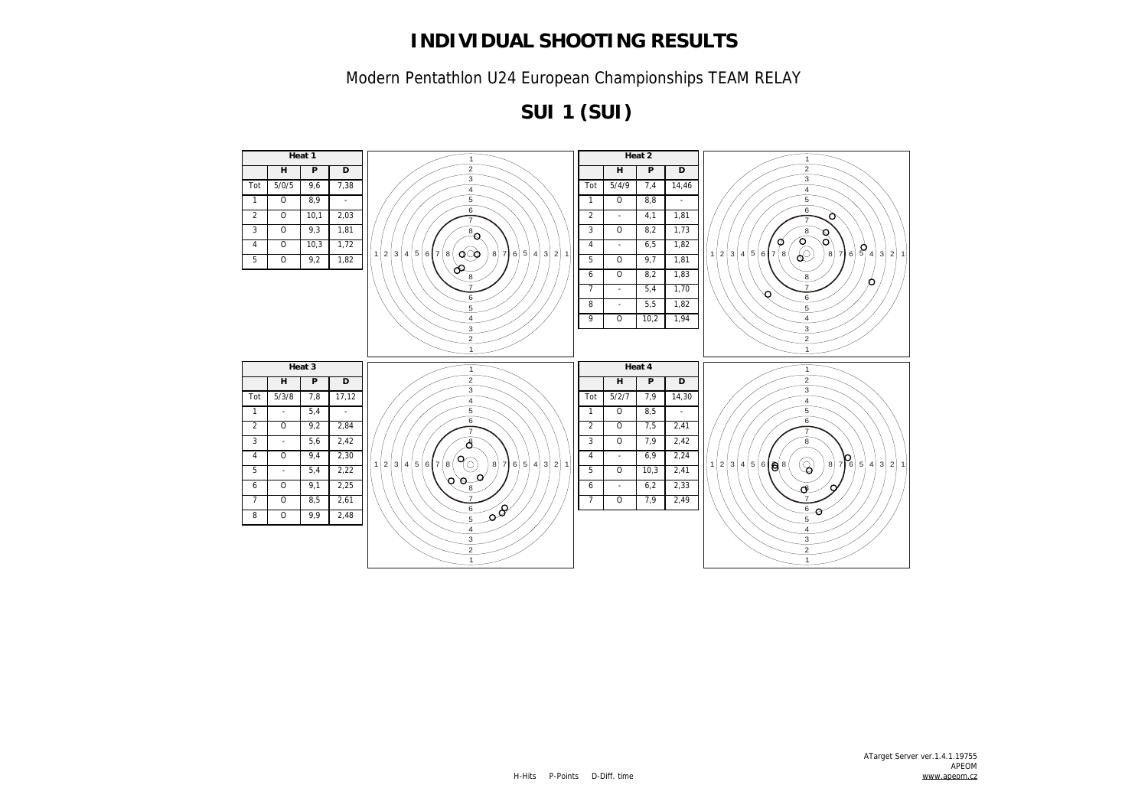Modern Pentathlon U24 European Championships TEAM RELAY

**SUI 1 (SUI)**

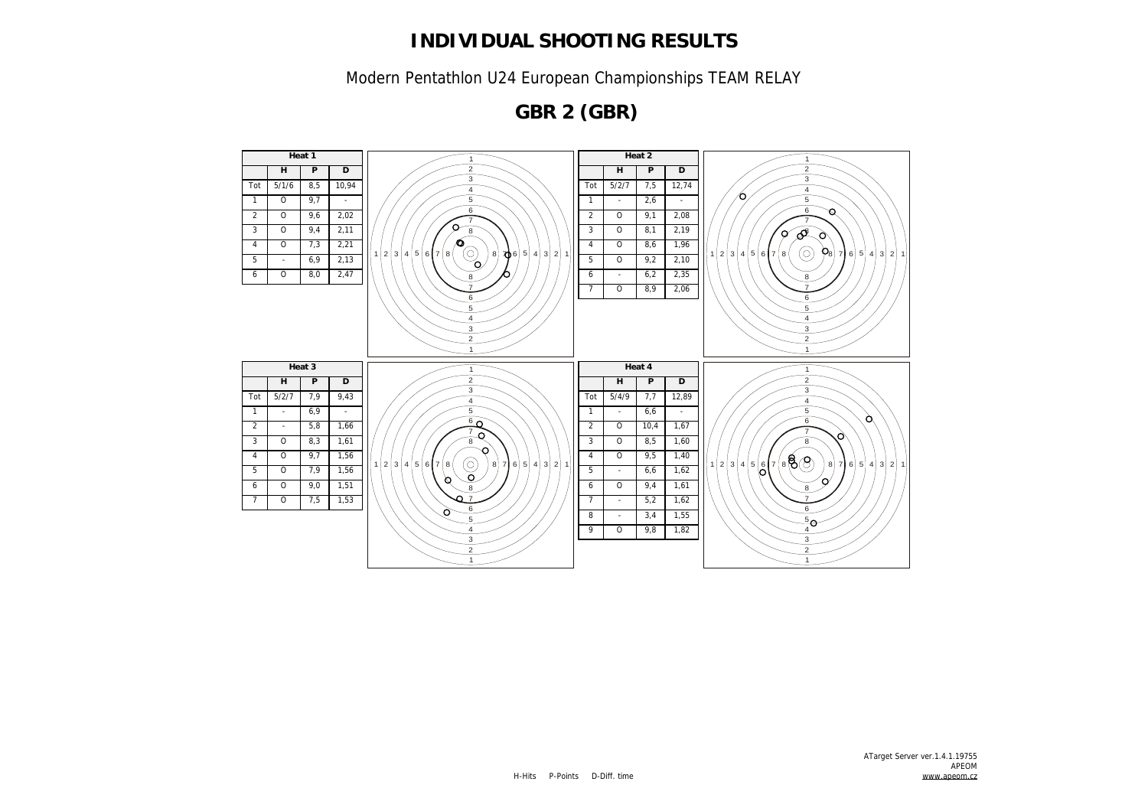Modern Pentathlon U24 European Championships TEAM RELAY

**GBR 2 (GBR)**

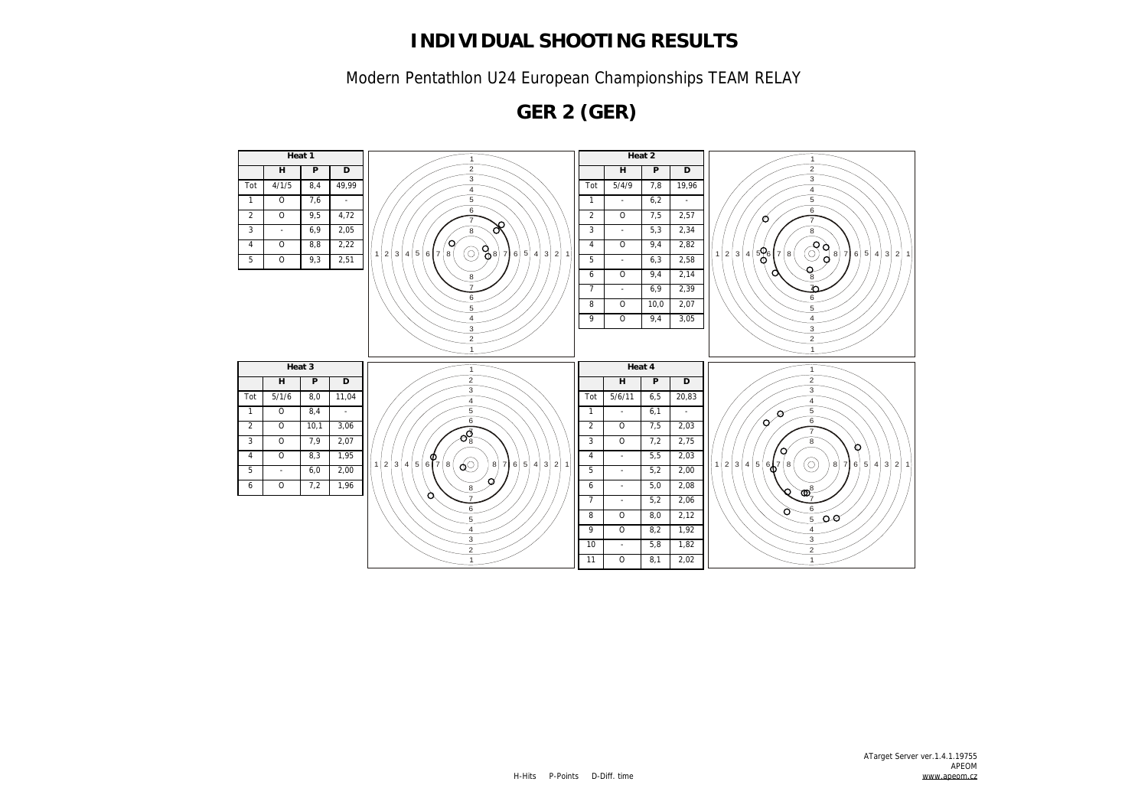Modern Pentathlon U24 European Championships TEAM RELAY

**GER 2 (GER)**

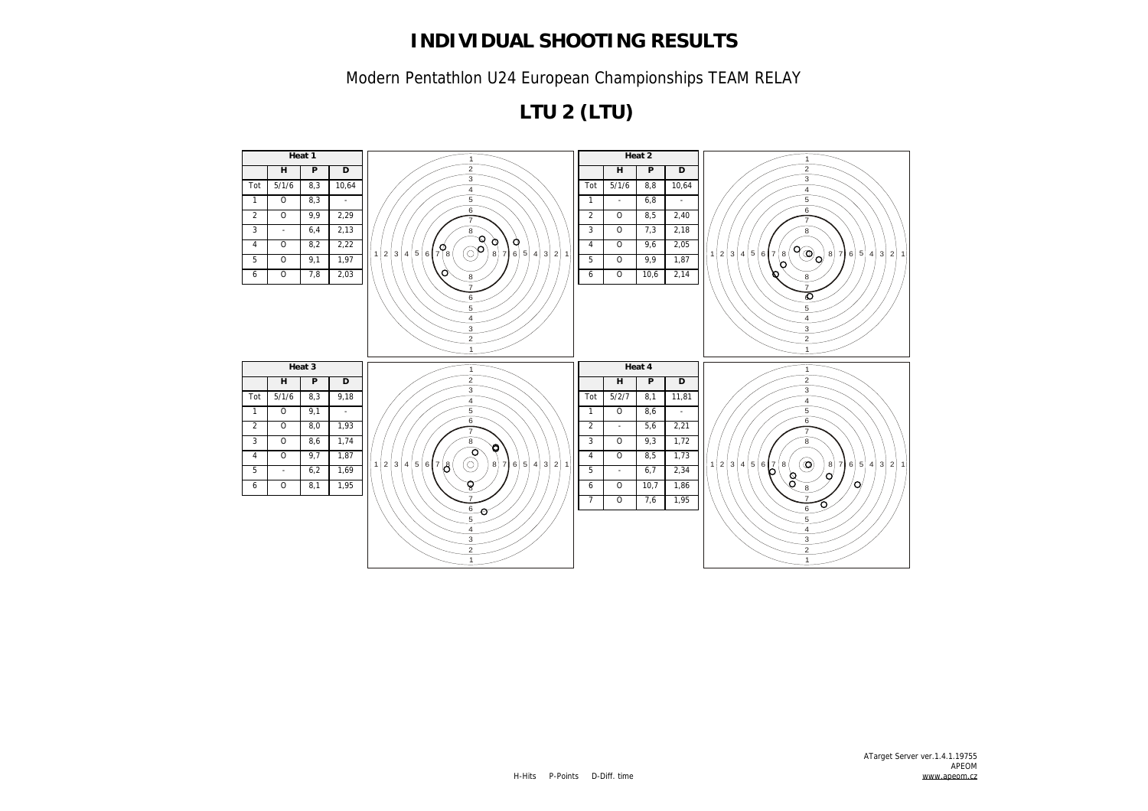Modern Pentathlon U24 European Championships TEAM RELAY

**LTU 2 (LTU)**

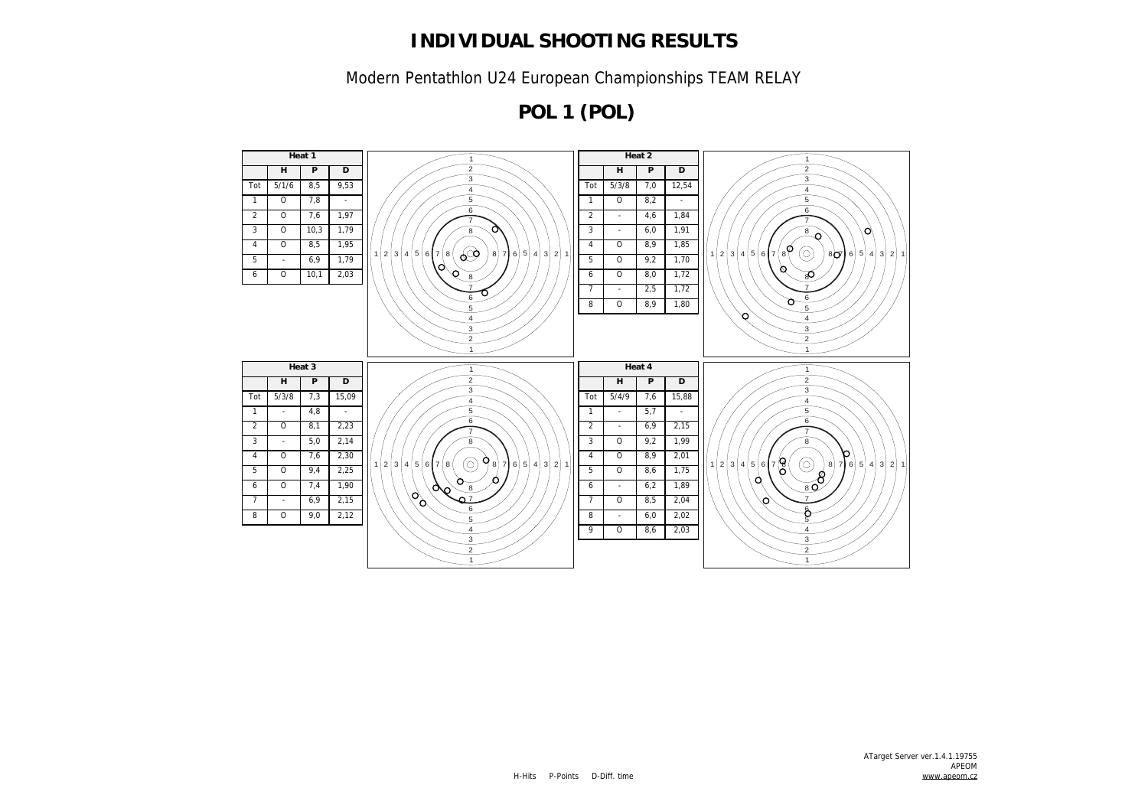Modern Pentathlon U24 European Championships TEAM RELAY

**POL 1 (POL)**

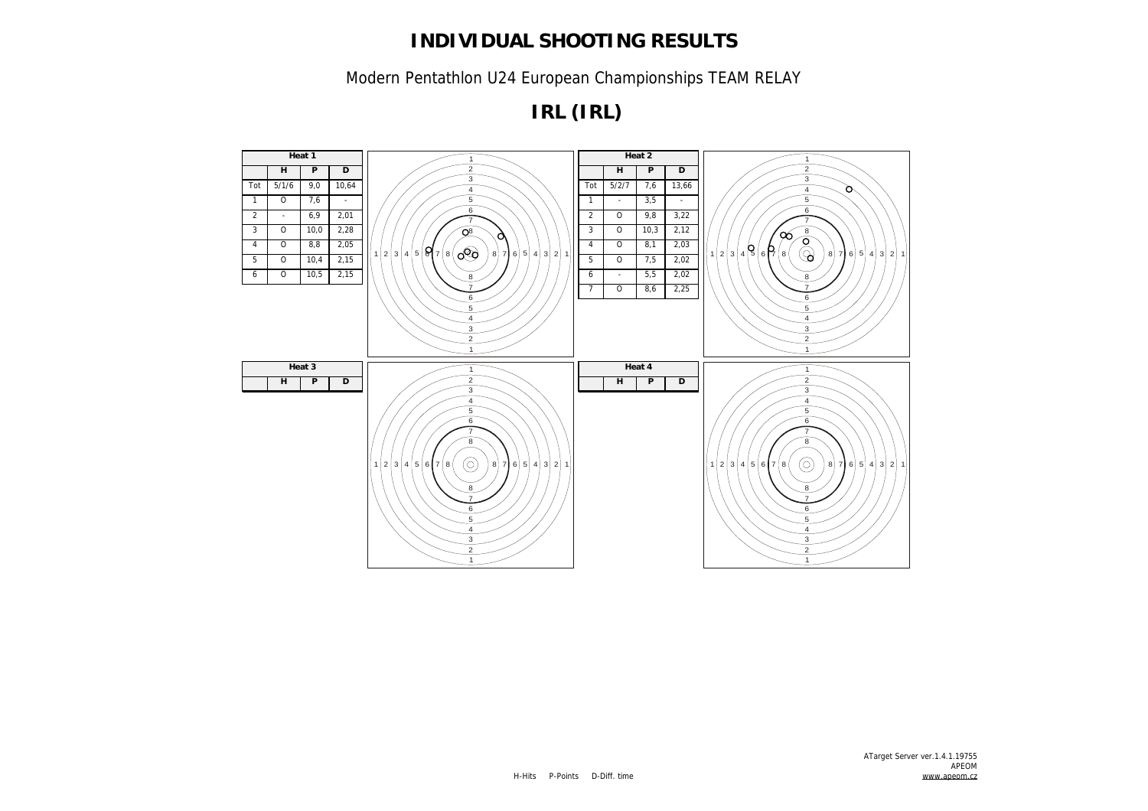Modern Pentathlon U24 European Championships TEAM RELAY

**IRL (IRL)**